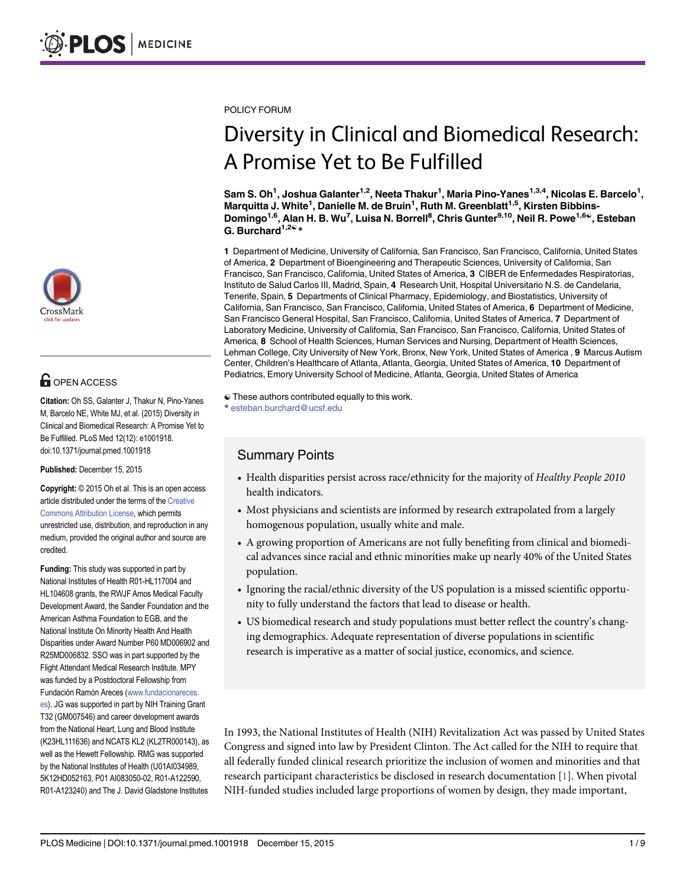

## **G** OPEN ACCESS

Citation: Oh SS, Galanter J, Thakur N, Pino-Yanes M, Barcelo NE, White MJ, et al. (2015) Diversity in Clinical and Biomedical Research: A Promise Yet to Be Fulfilled. PLoS Med 12(12): e1001918. doi:10.1371/journal.pmed.1001918

Published: December 15, 2015

Copyright: © 2015 Oh et al. This is an open access article distributed under the terms of the [Creative](http://creativecommons.org/licenses/by/4.0/) [Commons Attribution License](http://creativecommons.org/licenses/by/4.0/), which permits unrestricted use, distribution, and reproduction in any medium, provided the original author and source are credited.

Funding: This study was supported in part by National Institutes of Health R01-HL117004 and HL104608 grants, the RWJF Amos Medical Faculty Development Award, the Sandler Foundation and the American Asthma Foundation to EGB, and the National Institute On Minority Health And Health Disparities under Award Number P60 MD006902 and R25MD006832. SSO was in part supported by the Flight Attendant Medical Research Institute. MPY was funded by a Postdoctoral Fellowship from Fundación Ramón Areces ([www.fundacionareces.](http://www.fundacionareces.es) [es\)](http://www.fundacionareces.es). JG was supported in part by NIH Training Grant T32 (GM007546) and career development awards from the National Heart, Lung and Blood Institute (K23HL111636) and NCATS KL2 (KL2TR000143), as well as the Hewett Fellowship. RMG was supported by the National Institutes of Health (U01AI034989, 5K12HD052163, P01 AI083050-02, R01-A122590, R01-A123240) and The J. David Gladstone Institutes

<span id="page-0-0"></span>POLICY FORUM

# Diversity in Clinical and Biomedical Research: A Promise Yet to Be Fulfilled

Sam S. Oh<sup>1</sup>, Joshua Galanter<sup>1,2</sup>, Neeta Thakur<sup>1</sup>, Maria Pino-Yanes<sup>1,3,4</sup>, Nicolas E. Barcelo<sup>1</sup>, Marquitta J. White<sup>1</sup>, Danielle M. de Bruin<sup>1</sup>, Ruth M. Greenblatt<sup>1,5</sup>, Kirsten Bibbins-Domingo<sup>1,6</sup>, Alan H. B. Wu<sup>7</sup>, Luisa N. Borrell<sup>8</sup>, Chris Gunter<sup>9,10</sup>, Neil R. Powe<sup>1,6©</sup>, Esteban G. Burchard<sup>1,2 $e$ </sup>\*

1 Department of Medicine, University of California, San Francisco, San Francisco, California, United States of America, 2 Department of Bioengineering and Therapeutic Sciences, University of California, San Francisco, San Francisco, California, United States of America, 3 CIBER de Enfermedades Respiratorias, Instituto de Salud Carlos III, Madrid, Spain, 4 Research Unit, Hospital Universitario N.S. de Candelaria, Tenerife, Spain, 5 Departments of Clinical Pharmacy, Epidemiology, and Biostatistics, University of California, San Francisco, San Francisco, California, United States of America, 6 Department of Medicine, San Francisco General Hospital, San Francisco, California, United States of America, 7 Department of Laboratory Medicine, University of California, San Francisco, San Francisco, California, United States of America, 8 School of Health Sciences, Human Services and Nursing, Department of Health Sciences, Lehman College, City University of New York, Bronx, New York, United States of America , 9 Marcus Autism Center, Children's Healthcare of Atlanta, Atlanta, Georgia, United States of America, 10 Department of Pediatrics, Emory University School of Medicine, Atlanta, Georgia, United States of America

☯ These authors contributed equally to this work. \* esteban.burchard@ucsf.edu

### Summary Points

- Health disparities persist across race/ethnicity for the majority of Healthy People 2010 health indicators.
- Most physicians and scientists are informed by research extrapolated from a largely homogenous population, usually white and male.
- A growing proportion of Americans are not fully benefiting from clinical and biomedical advances since racial and ethnic minorities make up nearly 40% of the United States population.
- Ignoring the racial/ethnic diversity of the US population is a missed scientific opportunity to fully understand the factors that lead to disease or health.
- US biomedical research and study populations must better reflect the country's changing demographics. Adequate representation of diverse populations in scientific research is imperative as a matter of social justice, economics, and science.

In 1993, the National Institutes of Health (NIH) Revitalization Act was passed by United States Congress and signed into law by President Clinton. The Act called for the NIH to require that all federally funded clinical research prioritize the inclusion of women and minorities and that research participant characteristics be disclosed in research documentation [[1\]](#page-5-0). When pivotal NIH-funded studies included large proportions of women by design, they made important,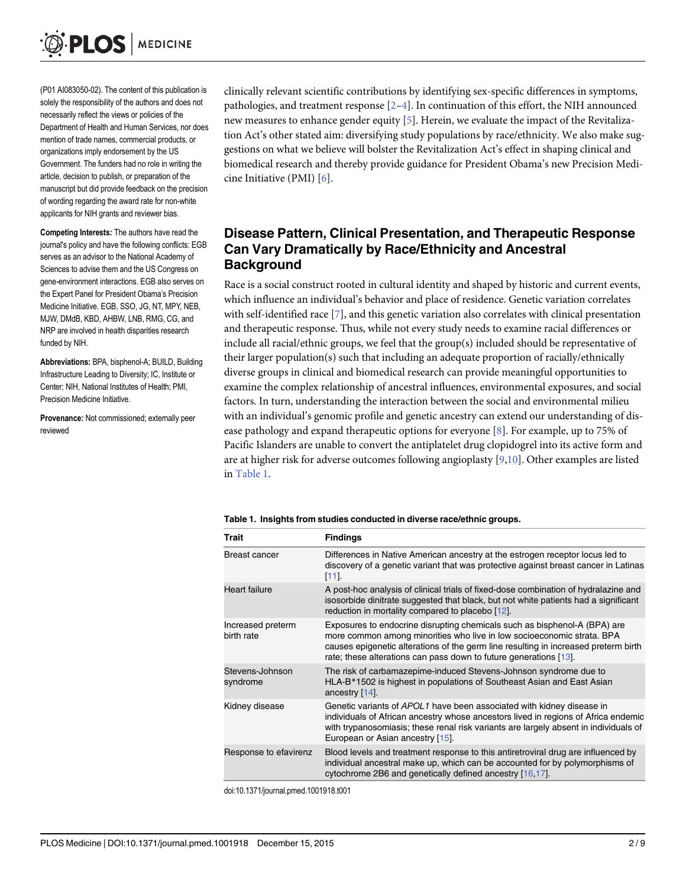<span id="page-1-0"></span>

(P01 AI083050-02). The content of this publication is solely the responsibility of the authors and does not necessarily reflect the views or policies of the Department of Health and Human Services, nor does mention of trade names, commercial products, or organizations imply endorsement by the US Government. The funders had no role in writing the article, decision to publish, or preparation of the manuscript but did provide feedback on the precision of wording regarding the award rate for non-white applicants for NIH grants and reviewer bias.

Competing Interests: The authors have read the journal's policy and have the following conflicts: EGB serves as an advisor to the National Academy of Sciences to advise them and the US Congress on gene-environment interactions. EGB also serves on the Expert Panel for President Obama's Precision Medicine Initiative. EGB, SSO, JG, NT, MPY, NEB, MJW, DMdB, KBD, AHBW, LNB, RMG, CG, and NRP are involved in health disparities research funded by NIH.

Abbreviations: BPA, bisphenol-A; BUILD, Building Infrastructure Leading to Diversity; IC, Institute or Center; NIH, National Institutes of Health; PMI, Precision Medicine Initiative.

Provenance: Not commissioned; externally peer reviewed

clinically relevant scientific contributions by identifying sex-specific differences in symptoms, pathologies, and treatment response  $[2-4]$  $[2-4]$  $[2-4]$  $[2-4]$ . In continuation of this effort, the NIH announced new measures to enhance gender equity [\[5\]](#page-6-0). Herein, we evaluate the impact of the Revitalization Act's other stated aim: diversifying study populations by race/ethnicity. We also make suggestions on what we believe will bolster the Revitalization Act's effect in shaping clinical and biomedical research and thereby provide guidance for President Obama's new Precision Medicine Initiative (PMI)  $[6]$  $[6]$ .

#### Disease Pattern, Clinical Presentation, and Therapeutic Response Can Vary Dramatically by Race/Ethnicity and Ancestral **Background**

Race is a social construct rooted in cultural identity and shaped by historic and current events, which influence an individual's behavior and place of residence. Genetic variation correlates with self-identified race  $\boxed{7}$ , and this genetic variation also correlates with clinical presentation and therapeutic response. Thus, while not every study needs to examine racial differences or include all racial/ethnic groups, we feel that the group(s) included should be representative of their larger population(s) such that including an adequate proportion of racially/ethnically diverse groups in clinical and biomedical research can provide meaningful opportunities to examine the complex relationship of ancestral influences, environmental exposures, and social factors. In turn, understanding the interaction between the social and environmental milieu with an individual's genomic profile and genetic ancestry can extend our understanding of disease pathology and expand therapeutic options for everyone [\[8](#page-6-0)]. For example, up to 75% of Pacific Islanders are unable to convert the antiplatelet drug clopidogrel into its active form and are at higher risk for adverse outcomes following angioplasty  $[9,10]$  $[9,10]$  $[9,10]$ . Other examples are listed in Table 1.

#### Table 1. Insights from studies conducted in diverse race/ethnic groups.

| <b>Trait</b>                    | <b>Findings</b>                                                                                                                                                                                                                                                                                                 |
|---------------------------------|-----------------------------------------------------------------------------------------------------------------------------------------------------------------------------------------------------------------------------------------------------------------------------------------------------------------|
| <b>Breast cancer</b>            | Differences in Native American ancestry at the estrogen receptor locus led to<br>discovery of a genetic variant that was protective against breast cancer in Latinas<br>[11]                                                                                                                                    |
| <b>Heart failure</b>            | A post-hoc analysis of clinical trials of fixed-dose combination of hydralazine and<br>isosorbide dinitrate suggested that black, but not white patients had a significant<br>reduction in mortality compared to placebo [12].                                                                                  |
| Increased preterm<br>birth rate | Exposures to endocrine disrupting chemicals such as bisphenol-A (BPA) are<br>more common among minorities who live in low socioeconomic strata. BPA<br>causes epigenetic alterations of the germ line resulting in increased preterm birth<br>rate; these alterations can pass down to future generations [13]. |
| Stevens-Johnson<br>syndrome     | The risk of carbamazepime-induced Stevens-Johnson syndrome due to<br>HLA-B*1502 is highest in populations of Southeast Asian and East Asian<br>ancestry [14].                                                                                                                                                   |
| Kidney disease                  | Genetic variants of APOL1 have been associated with kidney disease in<br>individuals of African ancestry whose ancestors lived in regions of Africa endemic<br>with trypanosomiasis; these renal risk variants are largely absent in individuals of<br>European or Asian ancestry [15].                         |
| Response to efavirenz           | Blood levels and treatment response to this antiretroviral drug are influenced by<br>individual ancestral make up, which can be accounted for by polymorphisms of<br>cytochrome 2B6 and genetically defined ancestry [16,17].                                                                                   |

doi:10.1371/journal.pmed.1001918.t001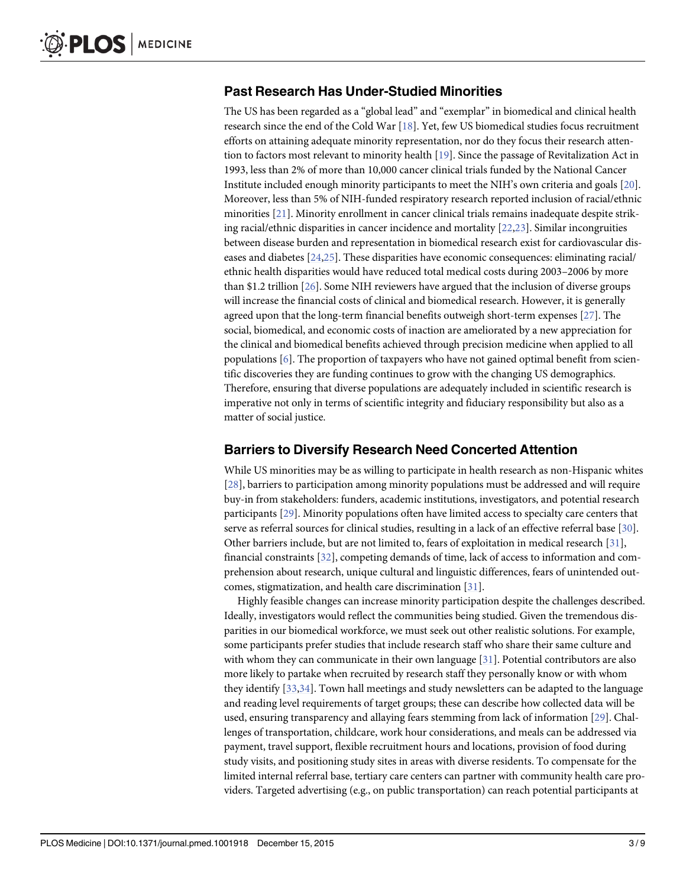#### <span id="page-2-0"></span>Past Research Has Under-Studied Minorities

The US has been regarded as a "global lead" and "exemplar" in biomedical and clinical health research since the end of the Cold War [[18\]](#page-6-0). Yet, few US biomedical studies focus recruitment efforts on attaining adequate minority representation, nor do they focus their research attention to factors most relevant to minority health [\[19\]](#page-6-0). Since the passage of Revitalization Act in 1993, less than 2% of more than 10,000 cancer clinical trials funded by the National Cancer Institute included enough minority participants to meet the NIH's own criteria and goals [[20\]](#page-6-0). Moreover, less than 5% of NIH-funded respiratory research reported inclusion of racial/ethnic minorities [[21](#page-6-0)]. Minority enrollment in cancer clinical trials remains inadequate despite striking racial/ethnic disparities in cancer incidence and mortality [[22,](#page-6-0)[23](#page-7-0)]. Similar incongruities between disease burden and representation in biomedical research exist for cardiovascular diseases and diabetes [\[24,25\]](#page-7-0). These disparities have economic consequences: eliminating racial/ ethnic health disparities would have reduced total medical costs during 2003–2006 by more than \$1.2 trillion [\[26\]](#page-7-0). Some NIH reviewers have argued that the inclusion of diverse groups will increase the financial costs of clinical and biomedical research. However, it is generally agreed upon that the long-term financial benefits outweigh short-term expenses [\[27\]](#page-7-0). The social, biomedical, and economic costs of inaction are ameliorated by a new appreciation for the clinical and biomedical benefits achieved through precision medicine when applied to all populations [[6\]](#page-6-0). The proportion of taxpayers who have not gained optimal benefit from scientific discoveries they are funding continues to grow with the changing US demographics. Therefore, ensuring that diverse populations are adequately included in scientific research is imperative not only in terms of scientific integrity and fiduciary responsibility but also as a matter of social justice.

#### Barriers to Diversify Research Need Concerted Attention

While US minorities may be as willing to participate in health research as non-Hispanic whites [\[28](#page-7-0)], barriers to participation among minority populations must be addressed and will require buy-in from stakeholders: funders, academic institutions, investigators, and potential research participants [[29\]](#page-7-0). Minority populations often have limited access to specialty care centers that serve as referral sources for clinical studies, resulting in a lack of an effective referral base [\[30\]](#page-7-0). Other barriers include, but are not limited to, fears of exploitation in medical research [\[31\]](#page-7-0), financial constraints [\[32\]](#page-7-0), competing demands of time, lack of access to information and comprehension about research, unique cultural and linguistic differences, fears of unintended outcomes, stigmatization, and health care discrimination [\[31\]](#page-7-0).

Highly feasible changes can increase minority participation despite the challenges described. Ideally, investigators would reflect the communities being studied. Given the tremendous disparities in our biomedical workforce, we must seek out other realistic solutions. For example, some participants prefer studies that include research staff who share their same culture and with whom they can communicate in their own language  $[31]$  $[31]$ . Potential contributors are also more likely to partake when recruited by research staff they personally know or with whom they identify [[33,34\]](#page-7-0). Town hall meetings and study newsletters can be adapted to the language and reading level requirements of target groups; these can describe how collected data will be used, ensuring transparency and allaying fears stemming from lack of information [[29](#page-7-0)]. Challenges of transportation, childcare, work hour considerations, and meals can be addressed via payment, travel support, flexible recruitment hours and locations, provision of food during study visits, and positioning study sites in areas with diverse residents. To compensate for the limited internal referral base, tertiary care centers can partner with community health care providers. Targeted advertising (e.g., on public transportation) can reach potential participants at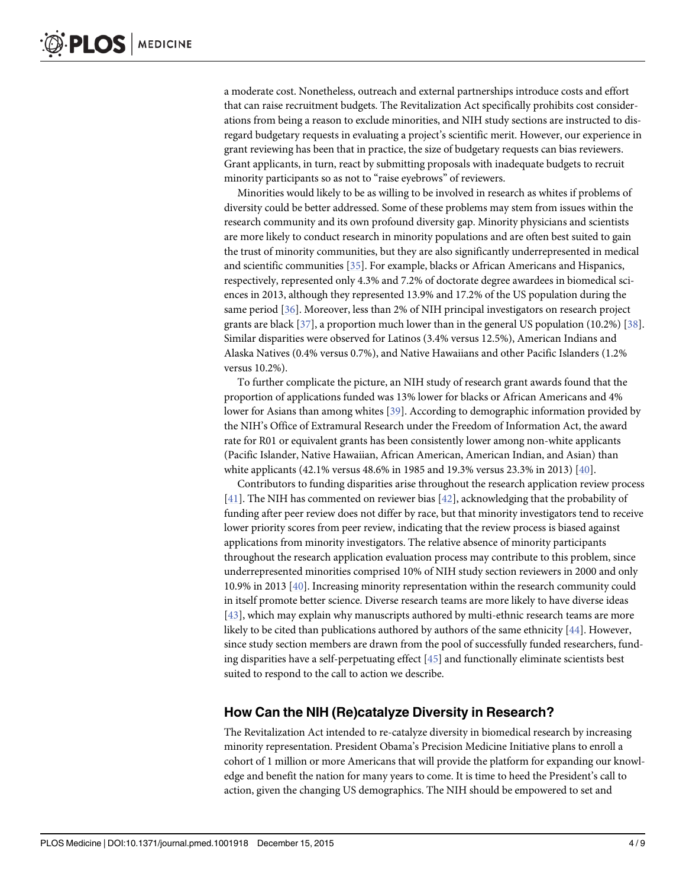<span id="page-3-0"></span>a moderate cost. Nonetheless, outreach and external partnerships introduce costs and effort that can raise recruitment budgets. The Revitalization Act specifically prohibits cost considerations from being a reason to exclude minorities, and NIH study sections are instructed to disregard budgetary requests in evaluating a project's scientific merit. However, our experience in grant reviewing has been that in practice, the size of budgetary requests can bias reviewers. Grant applicants, in turn, react by submitting proposals with inadequate budgets to recruit minority participants so as not to "raise eyebrows" of reviewers.

Minorities would likely to be as willing to be involved in research as whites if problems of diversity could be better addressed. Some of these problems may stem from issues within the research community and its own profound diversity gap. Minority physicians and scientists are more likely to conduct research in minority populations and are often best suited to gain the trust of minority communities, but they are also significantly underrepresented in medical and scientific communities [[35](#page-7-0)]. For example, blacks or African Americans and Hispanics, respectively, represented only 4.3% and 7.2% of doctorate degree awardees in biomedical sciences in 2013, although they represented 13.9% and 17.2% of the US population during the same period [\[36\]](#page-7-0). Moreover, less than 2% of NIH principal investigators on research project grants are black [[37\]](#page-7-0), a proportion much lower than in the general US population (10.2%) [\[38\]](#page-7-0). Similar disparities were observed for Latinos (3.4% versus 12.5%), American Indians and Alaska Natives (0.4% versus 0.7%), and Native Hawaiians and other Pacific Islanders (1.2% versus 10.2%).

To further complicate the picture, an NIH study of research grant awards found that the proportion of applications funded was 13% lower for blacks or African Americans and 4% lower for Asians than among whites [\[39\]](#page-7-0). According to demographic information provided by the NIH's Office of Extramural Research under the Freedom of Information Act, the award rate for R01 or equivalent grants has been consistently lower among non-white applicants (Pacific Islander, Native Hawaiian, African American, American Indian, and Asian) than white applicants (42.1% versus 48.6% in 1985 and 19.3% versus 23.3% in 2013) [\[40\]](#page-7-0).

Contributors to funding disparities arise throughout the research application review process [\[41](#page-7-0)]. The NIH has commented on reviewer bias [\[42\]](#page-7-0), acknowledging that the probability of funding after peer review does not differ by race, but that minority investigators tend to receive lower priority scores from peer review, indicating that the review process is biased against applications from minority investigators. The relative absence of minority participants throughout the research application evaluation process may contribute to this problem, since underrepresented minorities comprised 10% of NIH study section reviewers in 2000 and only 10.9% in 2013 [\[40\]](#page-7-0). Increasing minority representation within the research community could in itself promote better science. Diverse research teams are more likely to have diverse ideas [\[43](#page-7-0)], which may explain why manuscripts authored by multi-ethnic research teams are more likely to be cited than publications authored by authors of the same ethnicity [\[44\]](#page-7-0). However, since study section members are drawn from the pool of successfully funded researchers, funding disparities have a self-perpetuating effect [[45](#page-7-0)] and functionally eliminate scientists best suited to respond to the call to action we describe.

#### How Can the NIH (Re)catalyze Diversity in Research?

The Revitalization Act intended to re-catalyze diversity in biomedical research by increasing minority representation. President Obama's Precision Medicine Initiative plans to enroll a cohort of 1 million or more Americans that will provide the platform for expanding our knowledge and benefit the nation for many years to come. It is time to heed the President's call to action, given the changing US demographics. The NIH should be empowered to set and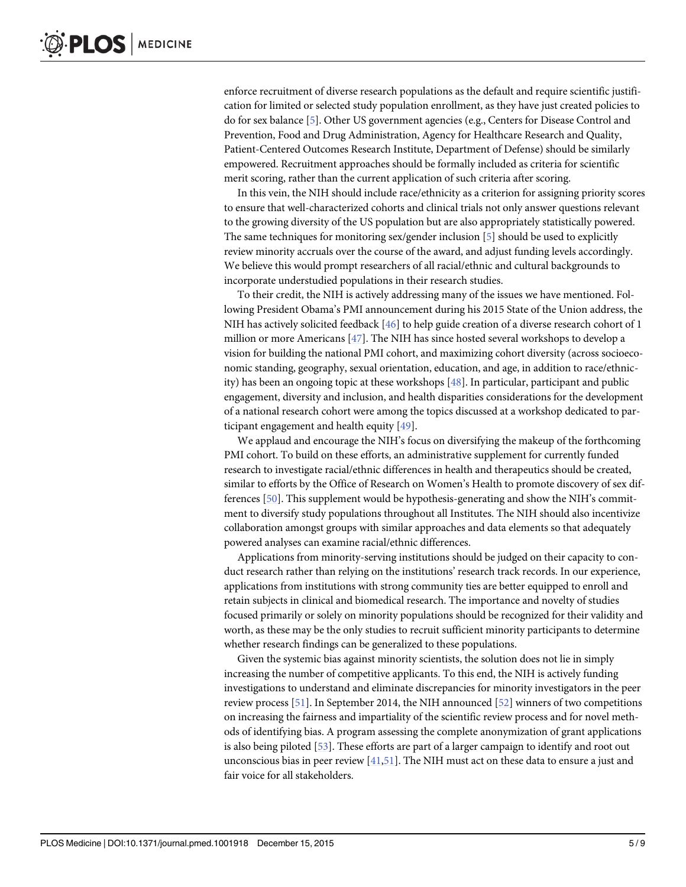<span id="page-4-0"></span>enforce recruitment of diverse research populations as the default and require scientific justification for limited or selected study population enrollment, as they have just created policies to do for sex balance [[5](#page-6-0)]. Other US government agencies (e.g., Centers for Disease Control and Prevention, Food and Drug Administration, Agency for Healthcare Research and Quality, Patient-Centered Outcomes Research Institute, Department of Defense) should be similarly empowered. Recruitment approaches should be formally included as criteria for scientific merit scoring, rather than the current application of such criteria after scoring.

In this vein, the NIH should include race/ethnicity as a criterion for assigning priority scores to ensure that well-characterized cohorts and clinical trials not only answer questions relevant to the growing diversity of the US population but are also appropriately statistically powered. The same techniques for monitoring sex/gender inclusion [\[5](#page-6-0)] should be used to explicitly review minority accruals over the course of the award, and adjust funding levels accordingly. We believe this would prompt researchers of all racial/ethnic and cultural backgrounds to incorporate understudied populations in their research studies.

To their credit, the NIH is actively addressing many of the issues we have mentioned. Following President Obama's PMI announcement during his 2015 State of the Union address, the NIH has actively solicited feedback [\[46\]](#page-8-0) to help guide creation of a diverse research cohort of 1 million or more Americans [[47](#page-8-0)]. The NIH has since hosted several workshops to develop a vision for building the national PMI cohort, and maximizing cohort diversity (across socioeconomic standing, geography, sexual orientation, education, and age, in addition to race/ethnicity) has been an ongoing topic at these workshops [\[48\]](#page-8-0). In particular, participant and public engagement, diversity and inclusion, and health disparities considerations for the development of a national research cohort were among the topics discussed at a workshop dedicated to participant engagement and health equity  $[49]$ .

We applaud and encourage the NIH's focus on diversifying the makeup of the forthcoming PMI cohort. To build on these efforts, an administrative supplement for currently funded research to investigate racial/ethnic differences in health and therapeutics should be created, similar to efforts by the Office of Research on Women's Health to promote discovery of sex differences [[50\]](#page-8-0). This supplement would be hypothesis-generating and show the NIH's commitment to diversify study populations throughout all Institutes. The NIH should also incentivize collaboration amongst groups with similar approaches and data elements so that adequately powered analyses can examine racial/ethnic differences.

Applications from minority-serving institutions should be judged on their capacity to conduct research rather than relying on the institutions' research track records. In our experience, applications from institutions with strong community ties are better equipped to enroll and retain subjects in clinical and biomedical research. The importance and novelty of studies focused primarily or solely on minority populations should be recognized for their validity and worth, as these may be the only studies to recruit sufficient minority participants to determine whether research findings can be generalized to these populations.

Given the systemic bias against minority scientists, the solution does not lie in simply increasing the number of competitive applicants. To this end, the NIH is actively funding investigations to understand and eliminate discrepancies for minority investigators in the peer review process [\[51\]](#page-8-0). In September 2014, the NIH announced [\[52\]](#page-8-0) winners of two competitions on increasing the fairness and impartiality of the scientific review process and for novel methods of identifying bias. A program assessing the complete anonymization of grant applications is also being piloted [[53](#page-8-0)]. These efforts are part of a larger campaign to identify and root out unconscious bias in peer review  $[41,51]$  $[41,51]$  $[41,51]$  $[41,51]$  $[41,51]$ . The NIH must act on these data to ensure a just and fair voice for all stakeholders.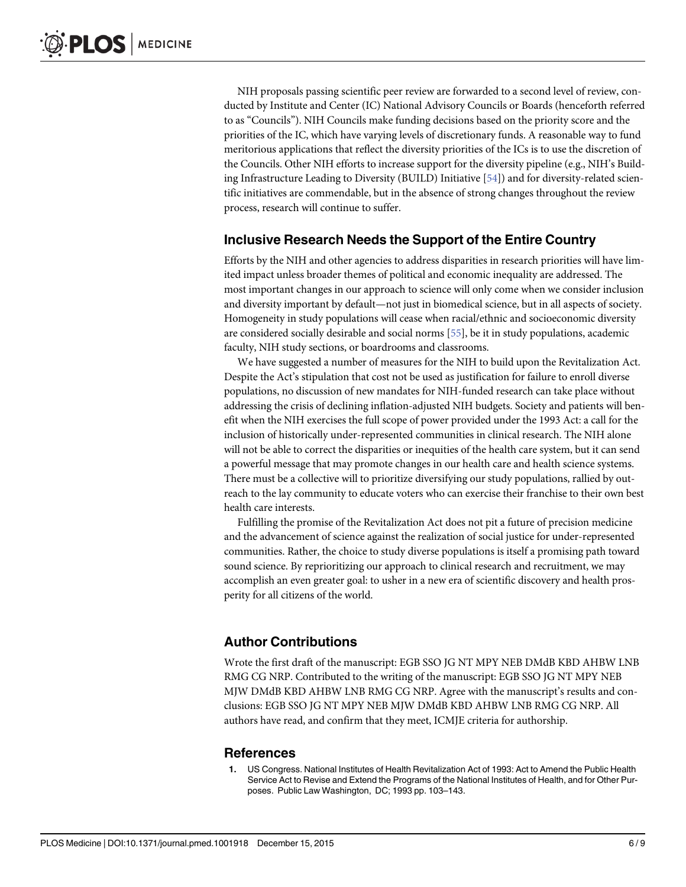<span id="page-5-0"></span>NIH proposals passing scientific peer review are forwarded to a second level of review, conducted by Institute and Center (IC) National Advisory Councils or Boards (henceforth referred to as "Councils"). NIH Councils make funding decisions based on the priority score and the priorities of the IC, which have varying levels of discretionary funds. A reasonable way to fund meritorious applications that reflect the diversity priorities of the ICs is to use the discretion of the Councils. Other NIH efforts to increase support for the diversity pipeline (e.g., NIH's Build-ing Infrastructure Leading to Diversity (BUILD) Initiative [[54](#page-8-0)]) and for diversity-related scientific initiatives are commendable, but in the absence of strong changes throughout the review process, research will continue to suffer.

#### Inclusive Research Needs the Support of the Entire Country

Efforts by the NIH and other agencies to address disparities in research priorities will have limited impact unless broader themes of political and economic inequality are addressed. The most important changes in our approach to science will only come when we consider inclusion and diversity important by default—not just in biomedical science, but in all aspects of society. Homogeneity in study populations will cease when racial/ethnic and socioeconomic diversity are considered socially desirable and social norms [\[55\]](#page-8-0), be it in study populations, academic faculty, NIH study sections, or boardrooms and classrooms.

We have suggested a number of measures for the NIH to build upon the Revitalization Act. Despite the Act's stipulation that cost not be used as justification for failure to enroll diverse populations, no discussion of new mandates for NIH-funded research can take place without addressing the crisis of declining inflation-adjusted NIH budgets. Society and patients will benefit when the NIH exercises the full scope of power provided under the 1993 Act: a call for the inclusion of historically under-represented communities in clinical research. The NIH alone will not be able to correct the disparities or inequities of the health care system, but it can send a powerful message that may promote changes in our health care and health science systems. There must be a collective will to prioritize diversifying our study populations, rallied by outreach to the lay community to educate voters who can exercise their franchise to their own best health care interests.

Fulfilling the promise of the Revitalization Act does not pit a future of precision medicine and the advancement of science against the realization of social justice for under-represented communities. Rather, the choice to study diverse populations is itself a promising path toward sound science. By reprioritizing our approach to clinical research and recruitment, we may accomplish an even greater goal: to usher in a new era of scientific discovery and health prosperity for all citizens of the world.

#### Author Contributions

Wrote the first draft of the manuscript: EGB SSO JG NT MPY NEB DMdB KBD AHBW LNB RMG CG NRP. Contributed to the writing of the manuscript: EGB SSO JG NT MPY NEB MJW DMdB KBD AHBW LNB RMG CG NRP. Agree with the manuscript's results and conclusions: EGB SSO JG NT MPY NEB MJW DMdB KBD AHBW LNB RMG CG NRP. All authors have read, and confirm that they meet, ICMJE criteria for authorship.

#### References

[1.](#page-0-0) US Congress. National Institutes of Health Revitalization Act of 1993: Act to Amend the Public Health Service Act to Revise and Extend the Programs of the National Institutes of Health, and for Other Purposes. Public Law Washington, DC; 1993 pp. 103–143.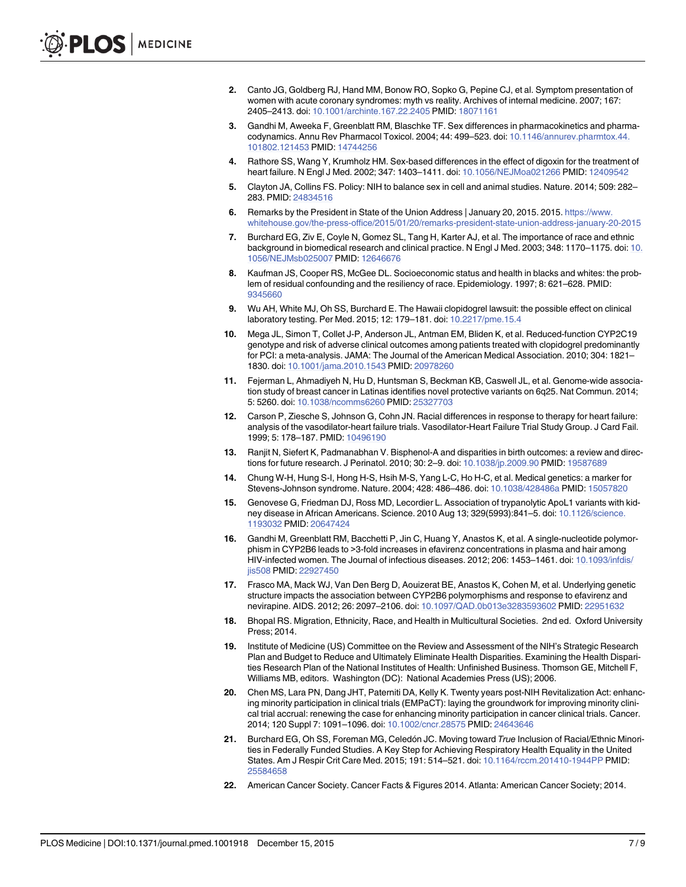- <span id="page-6-0"></span>[2.](#page-1-0) Canto JG, Goldberg RJ, Hand MM, Bonow RO, Sopko G, Pepine CJ, et al. Symptom presentation of women with acute coronary syndromes: myth vs reality. Archives of internal medicine. 2007; 167: 2405–2413. doi: [10.1001/archinte.167.22.2405](http://dx.doi.org/10.1001/archinte.167.22.2405) PMID: [18071161](http://www.ncbi.nlm.nih.gov/pubmed/18071161)
- 3. Gandhi M, Aweeka F, Greenblatt RM, Blaschke TF. Sex differences in pharmacokinetics and pharmacodynamics. Annu Rev Pharmacol Toxicol. 2004; 44: 499–523. doi: [10.1146/annurev.pharmtox.44.](http://dx.doi.org/10.1146/annurev.pharmtox.44.101802.121453) [101802.121453](http://dx.doi.org/10.1146/annurev.pharmtox.44.101802.121453) PMID: [14744256](http://www.ncbi.nlm.nih.gov/pubmed/14744256)
- [4.](#page-1-0) Rathore SS, Wang Y, Krumholz HM. Sex-based differences in the effect of digoxin for the treatment of heart failure. N Engl J Med. 2002; 347: 1403–1411. doi: [10.1056/NEJMoa021266](http://dx.doi.org/10.1056/NEJMoa021266) PMID: [12409542](http://www.ncbi.nlm.nih.gov/pubmed/12409542)
- [5.](#page-1-0) Clayton JA, Collins FS. Policy: NIH to balance sex in cell and animal studies. Nature. 2014; 509: 282– 283. PMID: [24834516](http://www.ncbi.nlm.nih.gov/pubmed/24834516)
- [6.](#page-1-0) Remarks by the President in State of the Union Address | January 20, 2015. 2015. [https://www.](https://www.whitehouse.gov/the-press-office/2015/01/20/remarks-president-state-union-address-january-20-2015) [whitehouse.gov/the-press-office/2015/01/20/remarks-president-state-union-address-january-20-2015](https://www.whitehouse.gov/the-press-office/2015/01/20/remarks-president-state-union-address-january-20-2015)
- [7.](#page-1-0) Burchard EG, Ziv E, Coyle N, Gomez SL, Tang H, Karter AJ, et al. The importance of race and ethnic background in biomedical research and clinical practice. N Engl J Med. 2003; 348: 1170–1175. doi: [10.](http://dx.doi.org/10.1056/NEJMsb025007) [1056/NEJMsb025007](http://dx.doi.org/10.1056/NEJMsb025007) PMID: [12646676](http://www.ncbi.nlm.nih.gov/pubmed/12646676)
- [8.](#page-1-0) Kaufman JS, Cooper RS, McGee DL. Socioeconomic status and health in blacks and whites: the problem of residual confounding and the resiliency of race. Epidemiology. 1997; 8: 621–628. PMID: [9345660](http://www.ncbi.nlm.nih.gov/pubmed/9345660)
- [9.](#page-1-0) Wu AH, White MJ, Oh SS, Burchard E. The Hawaii clopidogrel lawsuit: the possible effect on clinical laboratory testing. Per Med. 2015; 12: 179–181. doi: [10.2217/pme.15.4](http://dx.doi.org/10.2217/pme.15.4)
- [10.](#page-1-0) Mega JL, Simon T, Collet J-P, Anderson JL, Antman EM, Bliden K, et al. Reduced-function CYP2C19 genotype and risk of adverse clinical outcomes among patients treated with clopidogrel predominantly for PCI: a meta-analysis. JAMA: The Journal of the American Medical Association. 2010; 304: 1821– 1830. doi: [10.1001/jama.2010.1543](http://dx.doi.org/10.1001/jama.2010.1543) PMID: [20978260](http://www.ncbi.nlm.nih.gov/pubmed/20978260)
- [11.](#page-1-0) Fejerman L, Ahmadiyeh N, Hu D, Huntsman S, Beckman KB, Caswell JL, et al. Genome-wide association study of breast cancer in Latinas identifies novel protective variants on 6q25. Nat Commun. 2014; 5: 5260. doi: [10.1038/ncomms6260](http://dx.doi.org/10.1038/ncomms6260) PMID: [25327703](http://www.ncbi.nlm.nih.gov/pubmed/25327703)
- [12.](#page-1-0) Carson P, Ziesche S, Johnson G, Cohn JN. Racial differences in response to therapy for heart failure: analysis of the vasodilator-heart failure trials. Vasodilator-Heart Failure Trial Study Group. J Card Fail. 1999; 5: 178–187. PMID: [10496190](http://www.ncbi.nlm.nih.gov/pubmed/10496190)
- [13.](#page-1-0) Ranjit N, Siefert K, Padmanabhan V. Bisphenol-A and disparities in birth outcomes: a review and directions for future research. J Perinatol. 2010; 30: 2–9. doi: [10.1038/jp.2009.90](http://dx.doi.org/10.1038/jp.2009.90) PMID: [19587689](http://www.ncbi.nlm.nih.gov/pubmed/19587689)
- [14.](#page-1-0) Chung W-H, Hung S-I, Hong H-S, Hsih M-S, Yang L-C, Ho H-C, et al. Medical genetics: a marker for Stevens-Johnson syndrome. Nature. 2004; 428: 486–486. doi: [10.1038/428486a](http://dx.doi.org/10.1038/428486a) PMID: [15057820](http://www.ncbi.nlm.nih.gov/pubmed/15057820)
- [15.](#page-1-0) Genovese G, Friedman DJ, Ross MD, Lecordier L. Association of trypanolytic ApoL1 variants with kidney disease in African Americans. Science. 2010 Aug 13; 329(5993):841–5. doi: [10.1126/science.](http://dx.doi.org/10.1126/science.1193032) [1193032](http://dx.doi.org/10.1126/science.1193032) PMID: [20647424](http://www.ncbi.nlm.nih.gov/pubmed/20647424)
- [16.](#page-1-0) Gandhi M, Greenblatt RM, Bacchetti P, Jin C, Huang Y, Anastos K, et al. A single-nucleotide polymorphism in CYP2B6 leads to >3-fold increases in efavirenz concentrations in plasma and hair among HIV-infected women. The Journal of infectious diseases. 2012; 206: 1453–1461. doi: [10.1093/infdis/](http://dx.doi.org/10.1093/infdis/jis508) [jis508](http://dx.doi.org/10.1093/infdis/jis508) PMID: [22927450](http://www.ncbi.nlm.nih.gov/pubmed/22927450)
- [17.](#page-1-0) Frasco MA, Mack WJ, Van Den Berg D, Aouizerat BE, Anastos K, Cohen M, et al. Underlying genetic structure impacts the association between CYP2B6 polymorphisms and response to efavirenz and nevirapine. AIDS. 2012; 26: 2097–2106. doi: [10.1097/QAD.0b013e3283593602](http://dx.doi.org/10.1097/QAD.0b013e3283593602) PMID: [22951632](http://www.ncbi.nlm.nih.gov/pubmed/22951632)
- [18.](#page-2-0) Bhopal RS. Migration, Ethnicity, Race, and Health in Multicultural Societies. 2nd ed. Oxford University Press; 2014.
- [19.](#page-2-0) Institute of Medicine (US) Committee on the Review and Assessment of the NIH's Strategic Research Plan and Budget to Reduce and Ultimately Eliminate Health Disparities. Examining the Health Disparities Research Plan of the National Institutes of Health: Unfinished Business. Thomson GE, Mitchell F, Williams MB, editors. Washington (DC): National Academies Press (US); 2006.
- [20.](#page-2-0) Chen MS, Lara PN, Dang JHT, Paterniti DA, Kelly K. Twenty years post-NIH Revitalization Act: enhancing minority participation in clinical trials (EMPaCT): laying the groundwork for improving minority clinical trial accrual: renewing the case for enhancing minority participation in cancer clinical trials. Cancer. 2014; 120 Suppl 7: 1091–1096. doi: [10.1002/cncr.28575](http://dx.doi.org/10.1002/cncr.28575) PMID: [24643646](http://www.ncbi.nlm.nih.gov/pubmed/24643646)
- [21.](#page-2-0) Burchard EG, Oh SS, Foreman MG, Celedón JC. Moving toward True Inclusion of Racial/Ethnic Minorities in Federally Funded Studies. A Key Step for Achieving Respiratory Health Equality in the United States. Am J Respir Crit Care Med. 2015; 191: 514–521. doi: [10.1164/rccm.201410-1944PP](http://dx.doi.org/10.1164/rccm.201410-1944PP) PMID: [25584658](http://www.ncbi.nlm.nih.gov/pubmed/25584658)
- [22.](#page-2-0) American Cancer Society. Cancer Facts & Figures 2014. Atlanta: American Cancer Society; 2014.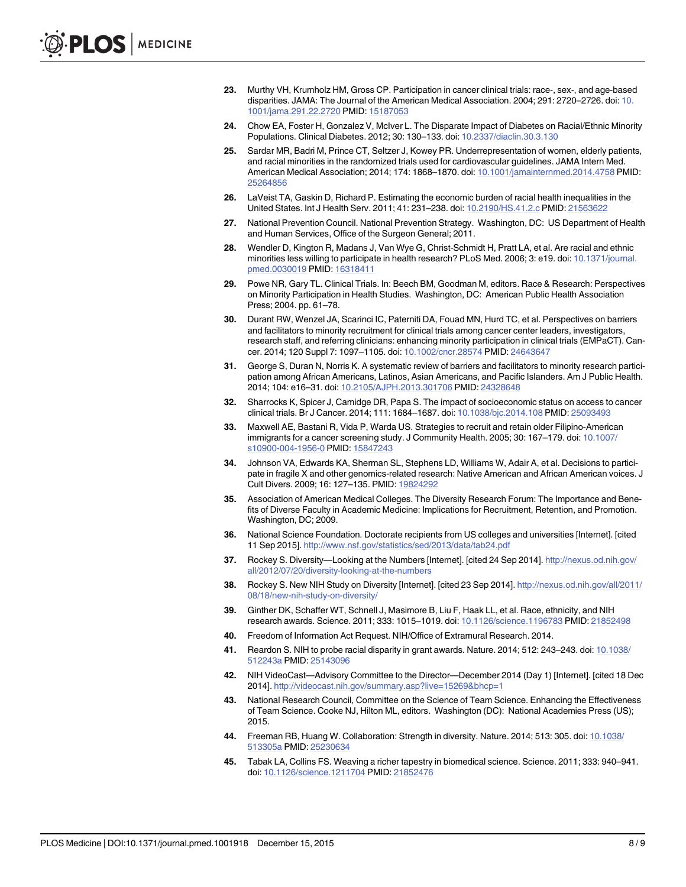- <span id="page-7-0"></span>[23.](#page-2-0) Murthy VH, Krumholz HM, Gross CP. Participation in cancer clinical trials: race-, sex-, and age-based disparities. JAMA: The Journal of the American Medical Association. 2004; 291: 2720–2726. doi: [10.](http://dx.doi.org/10.1001/jama.291.22.2720) [1001/jama.291.22.2720](http://dx.doi.org/10.1001/jama.291.22.2720) PMID: [15187053](http://www.ncbi.nlm.nih.gov/pubmed/15187053)
- [24.](#page-2-0) Chow EA, Foster H, Gonzalez V, McIver L. The Disparate Impact of Diabetes on Racial/Ethnic Minority Populations. Clinical Diabetes. 2012; 30: 130–133. doi: [10.2337/diaclin.30.3.130](http://dx.doi.org/10.2337/diaclin.30.3.130)
- [25.](#page-2-0) Sardar MR, Badri M, Prince CT, Seltzer J, Kowey PR. Underrepresentation of women, elderly patients, and racial minorities in the randomized trials used for cardiovascular guidelines. JAMA Intern Med. American Medical Association; 2014; 174: 1868–1870. doi: [10.1001/jamainternmed.2014.4758](http://dx.doi.org/10.1001/jamainternmed.2014.4758) PMID: [25264856](http://www.ncbi.nlm.nih.gov/pubmed/25264856)
- [26.](#page-2-0) LaVeist TA, Gaskin D, Richard P. Estimating the economic burden of racial health inequalities in the United States. Int J Health Serv. 2011; 41: 231–238. doi: [10.2190/HS.41.2.c](http://dx.doi.org/10.2190/HS.41.2.c) PMID: [21563622](http://www.ncbi.nlm.nih.gov/pubmed/21563622)
- [27.](#page-2-0) National Prevention Council. National Prevention Strategy. Washington, DC: US Department of Health and Human Services, Office of the Surgeon General; 2011.
- [28.](#page-2-0) Wendler D, Kington R, Madans J, Van Wye G, Christ-Schmidt H, Pratt LA, et al. Are racial and ethnic minorities less willing to participate in health research? PLoS Med. 2006; 3: e19. doi: [10.1371/journal.](http://dx.doi.org/10.1371/journal.pmed.0030019) [pmed.0030019](http://dx.doi.org/10.1371/journal.pmed.0030019) PMID: [16318411](http://www.ncbi.nlm.nih.gov/pubmed/16318411)
- [29.](#page-2-0) Powe NR, Gary TL. Clinical Trials. In: Beech BM, Goodman M, editors. Race & Research: Perspectives on Minority Participation in Health Studies. Washington, DC: American Public Health Association Press; 2004. pp. 61–78.
- [30.](#page-2-0) Durant RW, Wenzel JA, Scarinci IC, Paterniti DA, Fouad MN, Hurd TC, et al. Perspectives on barriers and facilitators to minority recruitment for clinical trials among cancer center leaders, investigators, research staff, and referring clinicians: enhancing minority participation in clinical trials (EMPaCT). Cancer. 2014; 120 Suppl 7: 1097–1105. doi: [10.1002/cncr.28574](http://dx.doi.org/10.1002/cncr.28574) PMID: [24643647](http://www.ncbi.nlm.nih.gov/pubmed/24643647)
- [31.](#page-2-0) George S, Duran N, Norris K. A systematic review of barriers and facilitators to minority research participation among African Americans, Latinos, Asian Americans, and Pacific Islanders. Am J Public Health. 2014; 104: e16–31. doi: [10.2105/AJPH.2013.301706](http://dx.doi.org/10.2105/AJPH.2013.301706) PMID: [24328648](http://www.ncbi.nlm.nih.gov/pubmed/24328648)
- [32.](#page-2-0) Sharrocks K, Spicer J, Camidge DR, Papa S. The impact of socioeconomic status on access to cancer clinical trials. Br J Cancer. 2014; 111: 1684–1687. doi: [10.1038/bjc.2014.108](http://dx.doi.org/10.1038/bjc.2014.108) PMID: [25093493](http://www.ncbi.nlm.nih.gov/pubmed/25093493)
- [33.](#page-2-0) Maxwell AE, Bastani R, Vida P, Warda US. Strategies to recruit and retain older Filipino-American immigrants for a cancer screening study. J Community Health. 2005; 30: 167–179. doi: [10.1007/](http://dx.doi.org/10.1007/s10900-004-1956-0) [s10900-004-1956-0](http://dx.doi.org/10.1007/s10900-004-1956-0) PMID: [15847243](http://www.ncbi.nlm.nih.gov/pubmed/15847243)
- [34.](#page-2-0) Johnson VA, Edwards KA, Sherman SL, Stephens LD, Williams W, Adair A, et al. Decisions to participate in fragile X and other genomics-related research: Native American and African American voices. J Cult Divers. 2009; 16: 127–135. PMID: [19824292](http://www.ncbi.nlm.nih.gov/pubmed/19824292)
- [35.](#page-3-0) Association of American Medical Colleges. The Diversity Research Forum: The Importance and Benefits of Diverse Faculty in Academic Medicine: Implications for Recruitment, Retention, and Promotion. Washington, DC; 2009.
- [36.](#page-3-0) National Science Foundation. Doctorate recipients from US colleges and universities [Internet]. [cited 11 Sep 2015]. <http://www.nsf.gov/statistics/sed/2013/data/tab24.pdf>
- [37.](#page-3-0) Rockey S. Diversity—Looking at the Numbers [Internet]. [cited 24 Sep 2014]. [http://nexus.od.nih.gov/](http://nexus.od.nih.gov/all/2012/07/20/diversity-looking-at-the-numbers) [all/2012/07/20/diversity-looking-at-the-numbers](http://nexus.od.nih.gov/all/2012/07/20/diversity-looking-at-the-numbers)
- [38.](#page-3-0) Rockey S. New NIH Study on Diversity [Internet]. [cited 23 Sep 2014]. [http://nexus.od.nih.gov/all/2011/](http://nexus.od.nih.gov/all/2011/08/18/new-nih-study-on-diversity/) [08/18/new-nih-study-on-diversity/](http://nexus.od.nih.gov/all/2011/08/18/new-nih-study-on-diversity/)
- [39.](#page-3-0) Ginther DK, Schaffer WT, Schnell J, Masimore B, Liu F, Haak LL, et al. Race, ethnicity, and NIH research awards. Science. 2011; 333: 1015–1019. doi: [10.1126/science.1196783](http://dx.doi.org/10.1126/science.1196783) PMID: [21852498](http://www.ncbi.nlm.nih.gov/pubmed/21852498)
- [40.](#page-3-0) Freedom of Information Act Request. NIH/Office of Extramural Research. 2014.
- [41.](#page-3-0) Reardon S. NIH to probe racial disparity in grant awards. Nature. 2014; 512: 243–243. doi: [10.1038/](http://dx.doi.org/10.1038/512243a) [512243a](http://dx.doi.org/10.1038/512243a) PMID: [25143096](http://www.ncbi.nlm.nih.gov/pubmed/25143096)
- [42.](#page-3-0) NIH VideoCast—Advisory Committee to the Director—December 2014 (Day 1) [Internet]. [cited 18 Dec 2014]. <http://videocast.nih.gov/summary.asp?live=15269&bhcp=1>
- [43.](#page-3-0) National Research Council, Committee on the Science of Team Science. Enhancing the Effectiveness of Team Science. Cooke NJ, Hilton ML, editors. Washington (DC): National Academies Press (US); 2015.
- [44.](#page-3-0) Freeman RB, Huang W. Collaboration: Strength in diversity. Nature. 2014; 513: 305. doi: [10.1038/](http://dx.doi.org/10.1038/513305a) [513305a](http://dx.doi.org/10.1038/513305a) PMID: [25230634](http://www.ncbi.nlm.nih.gov/pubmed/25230634)
- [45.](#page-3-0) Tabak LA, Collins FS. Weaving a richer tapestry in biomedical science. Science. 2011; 333: 940–941. doi: [10.1126/science.1211704](http://dx.doi.org/10.1126/science.1211704) PMID: [21852476](http://www.ncbi.nlm.nih.gov/pubmed/21852476)